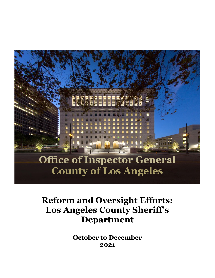

# **Reform and Oversight Efforts: Los Angeles County Sheriff's Department**

**October to December 2021**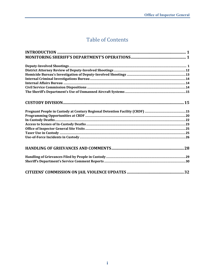## **Table of Contents**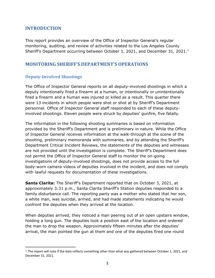### <span id="page-2-0"></span>**INTRODUCTION**

This report provides an overview of the Office of Inspector General's regular monitoring, auditing, and review of activities related to the Los Angeles County Sheriff's Department occurring between October [1](#page-2-3), 2021, and December 31, 2021.<sup>1</sup>

### <span id="page-2-1"></span>**MONITORING SHERIFF'S DEPARTMENT'S OPERATIONS**

### <span id="page-2-2"></span>**Deputy-Involved Shootings**

The Office of Inspector General reports on all deputy-involved shootings in which a deputy intentionally fired a firearm at a human, or intentionally or unintentionally fired a firearm and a human was injured or killed as a result. This quarter there were 13 incidents in which people were shot or shot at by Sheriff's Department personnel. Office of Inspector General staff responded to each of these deputyinvolved shootings. Eleven people were struck by deputies' gunfire, five fatally.

The information in the following shooting summaries is based on information provided by the Sheriff's Department and is preliminary in nature. While the Office of Inspector General receives information at the walk-through at the scene of the shooting, preliminary memoranda with summaries, and by attending the Sheriff's Department Critical Incident Reviews, the statements of the deputies and witnesses are not provided until the investigation is complete. The Sheriff's Department does not permit the Office of Inspector General staff to monitor the on-going investigations of deputy-involved shootings, does not provide access to the full body-worn camera videos of deputies involved in the incident, and does not comply with lawful requests for documentation of these investigations.

**Santa Clarita:** The Sheriff's Department reported that on October 3, 2021, at approximately 3:31 p.m., Santa Clarita Sheriff's Station deputies responded to a family disturbance call. The reporting party was a mother who stated that her son, a white man, was suicidal, armed, and had made statements indicating he would confront the deputies when they arrived at the location.

When deputies arrived, they noticed a man peering out of an open upstairs window, holding a long gun. The deputies took a position east of the location and ordered the man to drop the weapon. Approximately fifteen minutes after the deputies' arrival, the man pointed the gun at them and one of the deputies fired one round

<span id="page-2-3"></span> $1$  The report will note if the data reflects something other than what was gathered between October 1, 2021, and December 31, 2021.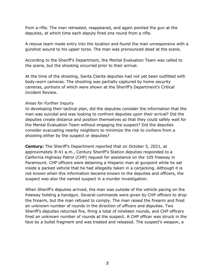from a rifle. The man retreated, reappeared, and again pointed the gun at the deputies, at which time each deputy fired one round from a rifle.

A rescue team made entry into the location and found the man unresponsive with a gunshot wound to his upper torso. The man was pronounced dead at the scene.

According to the Sheriff's Department, the Mental Evaluation Team was called to the scene, but the shooting occurred prior to their arrival.

At the time of the shooting, Santa Clarita deputies had not yet been outfitted with body-worn cameras. The shooting was partially captured by home security cameras, portions of which were shown at the Sheriff's Department's Critical Incident Review.

#### *Areas for Further Inquiry*

In developing their tactical plan, did the deputies consider the information that the man was suicidal and was looking to confront deputies upon their arrival? Did the deputies create distance and position themselves so that they could safely wait for the Mental Evaluation Team without engaging the suspect? Did the deputies consider evacuating nearby neighbors to minimize the risk to civilians from a shooting either by the suspect or deputies?

**Century:** The Sheriff's Department reported that on October 5, 2021, at approximately 8:41 a.m., Century Sheriff's Station deputies responded to a California Highway Patrol (CHP) request for assistance on the 105 freeway in Paramount. CHP officers were detaining a Hispanic man at gunpoint while he sat inside a parked vehicle that he had allegedly taken in a carjacking. Although it is not known when this information became known to the deputies and officers, the suspect was also the named suspect in a murder investigation.

When Sheriff's deputies arrived, the man was outside of the vehicle pacing on the freeway holding a handgun. Several commands were given by CHP officers to drop the firearm, but the man refused to comply. The man raised the firearm and fired an unknown number of rounds in the direction of officers and deputies. Two Sheriff's deputies returned fire, firing a total of nineteen rounds, and CHP officers fired an unknown number of rounds at the suspect. A CHP officer was struck in the face by a bullet fragment and was treated and released. The suspect's weapon, a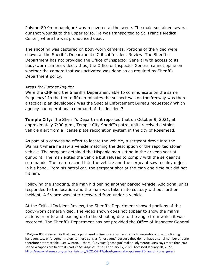Polymer80 9mm handgun<sup>[2](#page-4-0)</sup> was recovered at the scene. The male sustained several gunshot wounds to the upper torso. He was transported to St. Francis Medical Center, where he was pronounced dead.

The shooting was captured on body-worn cameras. Portions of the video were shown at the Sheriff's Department's Critical Incident Review. The Sheriff's Department has not provided the Office of Inspector General with access to its body-worn camera videos; thus, the Office of Inspector General cannot opine on whether the camera that was activated was done so as required by Sheriff's Department policy.

#### *Areas for Further Inquiry*

Were the CHP and the Sheriff's Department able to communicate on the same frequency? In the ten to fifteen minutes the suspect was on the freeway was there a tactical plan developed? Was the Special Enforcement Bureau requested? Which agency had operational command of this incident?

**Temple City:** The Sheriff's Department reported that on October 9, 2021, at approximately 7:00 p.m., Temple City Sheriff's patrol units received a stolen vehicle alert from a license plate recognition system in the city of Rosemead.

As part of a canvassing effort to locate the vehicle, a sergeant drove into the Walmart where he saw a vehicle matching the description of the reported stolen vehicle. The sergeant detained the Hispanic man sitting in the driver's seat at gunpoint. The man exited the vehicle but refused to comply with the sergeant's commands. The man reached into the vehicle and the sergeant saw a shiny object in his hand. From his patrol car, the sergeant shot at the man one time but did not hit him.

Following the shooting, the man hid behind another parked vehicle. Additional units responded to the location and the man was taken into custody without further incident. A firearm was later recovered from under a vehicle.

At the Critical Incident Review, the Sheriff's Department showed portions of the body-worn camera video. The video shown does not appear to show the man's actions prior to and leading up to the shooting due to the angle from which it was recorded. The Sheriff's Department has not provided the Office of Inspector General

<span id="page-4-0"></span> $2$  Polymer80 produces kits that can be purchased online for consumers to use to assemble a fully functioning handgun. Law enforcement refers to these guns as "ghost guns" because they do not have a serial number and are therefore not traceable. (See Winton, Richard, "City sues 'ghost gun' maker Polymer80; LAPD says more than 700 seized weapons are tied to its parts," *Los Angeles Times*, February 17, 2021. Accessed January 28, 2022. [https://www.latimes.com/california/story/2021-02-17/ghost-gun-maker-polymer80-lawsuit-los-angeles\)](https://gcc02.safelinks.protection.outlook.com/?url=https%3A%2F%2Fwww.latimes.com%2Fcalifornia%2Fstory%2F2021-02-17%2Fghost-gun-maker-polymer80-lawsuit-los-angeles&data=04%7C01%7CDWilliams%40oig.lacounty.gov%7C5e0e7e28e39e4d6fd0ce08d9e1faf025%7C7faea7986ad04fc9b068fcbcaed341f6%7C0%7C0%7C637789290769023050%7CUnknown%7CTWFpbGZsb3d8eyJWIjoiMC4wLjAwMDAiLCJQIjoiV2luMzIiLCJBTiI6Ik1haWwiLCJXVCI6Mn0%3D%7C1000&sdata=MayPzDgc1%2Bn4qE5t5KTfsoJbADkrAv41tbWZFsxPnno%3D&reserved=0)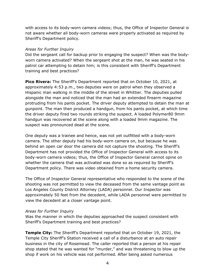with access to its body-worn camera videos; thus, the Office of Inspector General is not aware whether all body-worn cameras were properly activated as required by Sheriff's Department policy.

#### *Areas for Further Inquiry*

Did the sergeant call for backup prior to engaging the suspect? When was the bodyworn camera activated? When the sergeant shot at the man, he was seated in his patrol car attempting to detain him; is this consistent with Sheriff's Department training and best practices?

**Pico Rivera:** The Sheriff's Department reported that on October 10, 2021, at approximately 4:53 p.m., two deputies were on patrol when they observed a Hispanic man walking in the middle of the street in Whittier. The deputies pulled alongside the man and noticed that the man had an extended firearm magazine protruding from his pants pocket. The driver deputy attempted to detain the man at gunpoint. The man then produced a handgun, from his pants pocket, at which time the driver deputy fired two rounds striking the suspect. A loaded Polymer80 9mm handgun was recovered at the scene along with a loaded 9mm magazine. The suspect was pronounced dead at the scene.

One deputy was a trainee and hence, was not yet outfitted with a body-worn camera. The other deputy had his body-worn camera on, but because he was behind an open car door the camera did not capture the shooting. The Sheriff's Department has not provided the Office of Inspector General with access to its body-worn camera videos; thus, the Office of Inspector General cannot opine on whether the camera that was activated was done so as required by Sheriff's Department policy. There was video obtained from a home security camera.

The Office of Inspector General representative who responded to the scene of the shooting was not permitted to view the deceased from the same vantage point as Los Angeles County District Attorney (LADA) personnel. Our Inspector was approximately 50 feet from the decedent, while LADA personnel were permitted to view the decedent at a closer vantage point.

#### *Areas for Further Inquiry*

Was the manner in which the deputies approached the suspect consistent with Sheriff's Department training and best practices?

**Temple City:** The Sheriff's Department reported that on October 19, 2021, the Temple City Sheriff's Station received a call of a disturbance at an auto repair business in the city of Rosemead. The caller reported that a person at his repair shop stated that he was wanted for "murder," and was threatening to blow up the shop if work on his vehicle was not performed. After being asked numerous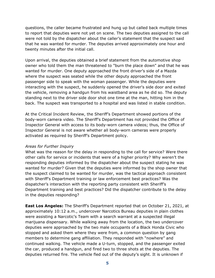questions, the caller became frustrated and hung up but called back multiple times to report that deputies were not yet on scene. The two deputies assigned to the call were not told by the dispatcher about the caller's statement that the suspect said that he was wanted for murder. The deputies arrived approximately one hour and twenty minutes after the initial call.

Upon arrival, the deputies obtained a brief statement from the automotive shop owner who told them the man threatened to "burn the place down" and that he was wanted for murder. One deputy approached the front driver's side of a Mazda where the suspect was seated while the other deputy approached the front passenger side to speak with the woman passenger. While the deputies were interacting with the suspect, he suddenly opened the driver's side door and exited the vehicle, removing a handgun from his waistband area as he did so. The deputy standing next to the driver side door shot one time at the man, hitting him in the back. The suspect was transported to a hospital and was listed in stable condition.

At the Critical Incident Review, the Sheriff's Department showed portions of the body-worn camera video. The Sheriff's Department has not provided the Office of Inspector General with access to its body-worn camera videos; thus, the Office of Inspector General is not aware whether all body-worn cameras were properly activated as required by Sheriff's Department policy.

#### *Areas for Further Inquiry*

What was the reason for the delay in responding to the call for service? Were there other calls for service or incidents that were of a higher priority? Why weren't the responding deputies informed by the dispatcher about the suspect stating he was wanted for murder? Given that the deputies were informed by the shop owner that the suspect claimed to be wanted for murder, was the tactical approach consistent with Sheriff's Department training or law enforcement best practices? Was the dispatcher's interaction with the reporting party consistent with Sheriff's Department training and best practices? Did the dispatcher contribute to the delay in the deputies responding?

**East Los Angeles:** The Sheriff's Department reported that on October 21, 2021, at approximately 10:12 a.m., undercover Narcotics Bureau deputies in plain clothes were assisting a Narcotic's Team with a search warrant at a suspected illegal marijuana dispensary. While walking away from the location, the two undercover deputies were approached by the two male occupants of a Black Honda Civic who stopped and asked them where they were from, a common question by gang members to determine gang affiliation. They responded with "nowhere" and continued walking. The vehicle made a U-turn, stopped, and the passenger exited the car, produced a handgun, and fired two to three shots at the deputies. The deputies returned fire. The vehicle fled out of the deputy's sight. It is unknown if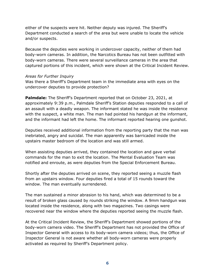either of the suspects were hit. Neither deputy was injured. The Sheriff's Department conducted a search of the area but were unable to locate the vehicle and/or suspects.

Because the deputies were working in undercover capacity, neither of them had body-worn cameras. In addition, the Narcotics Bureau has not been outfitted with body-worn cameras. There were several surveillance cameras in the area that captured portions of this incident, which were shown at the Critical Incident Review.

#### *Areas for Further Inquiry*

Was there a Sheriff's Department team in the immediate area with eyes on the undercover deputies to provide protection?

**Palmdale:** The Sheriff's Department reported that on October 23, 2021, at approximately 9:39 p.m., Palmdale Sheriff's Station deputies responded to a call of an assault with a deadly weapon. The informant stated he was inside the residence with the suspect, a white man. The man had pointed his handgun at the informant, and the informant had left the home. The informant reported hearing one gunshot.

Deputies received additional information from the reporting party that the man was inebriated, angry and suicidal. The man apparently was barricaded inside the upstairs master bedroom of the location and was still armed.

When assisting deputies arrived, they contained the location and gave verbal commands for the man to exit the location. The Mental Evaluation Team was notified and enroute, as were deputies from the Special Enforcement Bureau.

Shortly after the deputies arrived on scene, they reported seeing a muzzle flash from an upstairs window. Four deputies fired a total of 15 rounds toward the window. The man eventually surrendered.

The man sustained a minor abrasion to his hand, which was determined to be a result of broken glass caused by rounds striking the window. A 9mm handgun was located inside the residence, along with two magazines. Two casings were recovered near the window where the deputies reported seeing the muzzle flash.

At the Critical Incident Review, the Sheriff's Department showed portions of the body-worn camera video. The Sheriff's Department has not provided the Office of Inspector General with access to its body-worn camera videos; thus, the Office of Inspector General is not aware whether all body-worn cameras were properly activated as required by Sheriff's Department policy.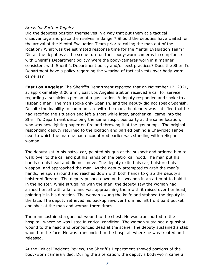#### *Areas for Further Inquiry*

Did the deputies position themselves in a way that put them at a tactical disadvantage and place themselves in danger? Should the deputies have waited for the arrival of the Mental Evaluation Team prior to calling the man out of the location? What was the estimated response time for the Mental Evaluation Team? Did all the deputies at the scene turn on their body-worn cameras in compliance with Sheriff's Department policy? Were the body-cameras worn in a manner consistent with Sheriff's Department policy and/or best practices? Does the Sheriff's Department have a policy regarding the wearing of tactical vests over body-worn cameras?

**East Los Angeles:** The Sheriff's Department reported that on November 12, 2021, at approximately 3:00 a.m., East Los Angeles Station received a call for service regarding a suspicious person at a gas station. A deputy responded and spoke to a Hispanic man. The man spoke only Spanish, and the deputy did not speak Spanish. Despite the inability to communicate with the man, the deputy was satisfied that he had rectified the situation and left a short while later, another call came into the Sheriff's Department describing the same suspicious party at the same location, who was now lighting paper on fire and throwing it at the gas pumps. The original responding deputy returned to the location and parked behind a Chevrolet Tahoe next to which the man he had encountered earlier was standing with a Hispanic woman.

The deputy sat in his patrol car, pointed his gun at the suspect and ordered him to walk over to the car and put his hands on the patrol car hood. The man put his hands on his head and did not move. The deputy exited his car, holstered his weapon, and approached the man. As the deputy attempted to grab the man's hands, he spun around and reached down with both hands to grab the deputy's holstered firearm. The deputy pushed down on his weapon in an attempt to hold it in the holster. While struggling with the man, the deputy saw the woman had armed herself with a knife and was approaching them with it raised over her head, pointing it in his direction. The woman swung the knife and stabbed the deputy in the face. The deputy retrieved his backup revolver from his left front pant pocket and shot at the man and woman three times.

The man sustained a gunshot wound to the chest. He was transported to the hospital, where he was listed in critical condition. The woman sustained a gunshot wound to the head and pronounced dead at the scene. The deputy sustained a stab wound to the face. He was transported to the hospital, where he was treated and released.

At the Critical Incident Review, the Sheriff's Department showed portions of the body-worn camera video. During the altercation, the deputy's body-worn camera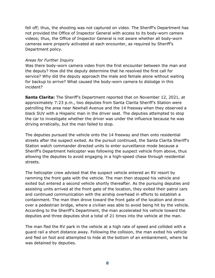fell off; thus, the shooting was not captured on video. The Sheriff's Department has not provided the Office of Inspector General with access to its body-worn camera videos; thus, the Office of Inspector General is not aware whether all body-worn cameras were properly activated at each encounter, as required by Sheriff's Department policy.

#### *Areas for Further Inquiry*

Was there body-worn camera video from the first encounter between the man and the deputy? How did the deputy determine that he resolved the first call for service? Why did the deputy approach the male and female alone without waiting for backup to arrive? What caused the body-worn camera to dislodge in this incident?

**Santa Clarita:** The Sheriff's Department reported that on November 12, 2021, at approximately 7:23 p.m., two deputies from Santa Clarita Sheriff's Station were patrolling the area near Newhall Avenue and the 14 freeway when they observed a black SUV with a Hispanic man in the driver seat. The deputies attempted to stop the car to investigate whether the driver was under the influence because he was driving erratically, but the man failed to stop.

The deputies pursued the vehicle onto the 14 freeway and then onto residential streets after the suspect exited. As the pursuit continued, the Santa Clarita Sheriff's Station watch commander directed units to enter surveillance mode because a Sheriff's Department helicopter was following the suspect vehicle from above, thus allowing the deputies to avoid engaging in a high-speed chase through residential streets.

The helicopter crew advised that the suspect vehicle entered an RV resort by ramming the front gate with the vehicle. The man then stopped his vehicle and exited but entered a second vehicle shortly thereafter. As the pursuing deputies and assisting units arrived at the front gate of the location, they exited their patrol cars and continued communication with the airship overhead in efforts to establish a containment. The man then drove toward the front gate of the location and drove over a pedestrian bridge, where a civilian was able to avoid being hit by the vehicle. According to the Sheriff's Department, the man accelerated his vehicle toward the deputies and three deputies shot a total of 21 times into the vehicle at the man.

The man fled the RV park in the vehicle at a high rate of speed and collided with a guard rail a short distance away. Following the collision, the man exited his vehicle and fled on foot and attempted to hide at the bottom of an embankment, where he was detained by deputies.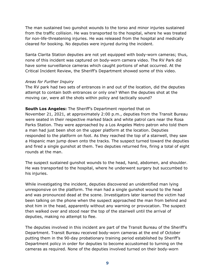The man sustained two gunshot wounds to the torso and minor injuries sustained from the traffic collision. He was transported to the hospital, where he was treated for non-life-threatening injuries. He was released from the hospital and medically cleared for booking. No deputies were injured during the incident.

Santa Clarita Station deputies are not yet equipped with body-worn cameras; thus, none of this incident was captured on body-worn camera video. The RV Park did have some surveillance cameras which caught portions of what occurred. At the Critical Incident Review, the Sheriff's Department showed some of this video.

#### *Areas for Further Inquiry*

The RV park had two sets of entrances in and out of the location, did the deputies attempt to contain both entrances or only one? When the deputies shot at the moving car, were all the shots within policy and tactically sound?

#### **South Los Angeles:** The Sheriff's Department reported that on

November 21, 2021, at approximately 2:00 p.m., deputies from the Transit Bureau were seated in their respective marked black and white patrol cars near the Rosa Parks Station. They were approached by a Los Angeles Metro patron who told them a man had just been shot on the upper platform at the location. Deputies responded to the platform on foot. As they reached the top of a stairwell, they saw a Hispanic man jump down onto the tracks. The suspect turned toward the deputies and fired a single gunshot at them. Two deputies returned fire, firing a total of eight rounds at the man.

The suspect sustained gunshot wounds to the head, hand, abdomen, and shoulder. He was transported to the hospital, where he underwent surgery but succumbed to his injuries.

While investigating the incident, deputies discovered an unidentified man lying unresponsive on the platform. The man had a single gunshot wound to the head and was pronounced dead at the scene. Investigators later learned the victim had been talking on the phone when the suspect approached the man from behind and shot him in the head, apparently without any warning or provocation. The suspect then walked over and stood near the top of the stairwell until the arrival of deputies, making no attempt to flee.

The deputies involved in this incident are part of the Transit Bureau of the Sheriff's Department. Transit Bureau received body-worn cameras at the end of October putting them in the 90-day probationary training period established by Sheriff's Department policy in order for deputies to become accustomed to turning on the cameras as required. None of the deputies involved turned on their body-worn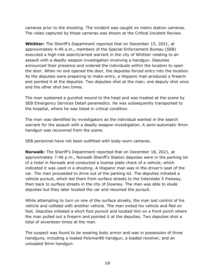cameras prior to the shooting. The incident was caught on metro station cameras. The video captured by those cameras was shown at the Critical Incident Review.

**Whittier:** The Sheriff's Department reported that on December 15, 2021, at approximately 4:40 a.m., members of the Special Enforcement Bureau (SEB) executed a high-risk search/arrest warrant in the city of Whittier relating to an assault with a deadly weapon investigation involving a handgun. Deputies announced their presence and ordered the individuals within the location to open the door. When no one opened the door, the deputies forced entry into the location. As the deputies were preparing to make entry, a Hispanic man produced a firearm and pointed it at the deputies. Two deputies shot at the man; one deputy shot once and the other shot two times.

The man sustained a gunshot wound to the head and was treated at the scene by SEB Emergency Services Detail paramedics. He was subsequently transported to the hospital, where he was listed in critical condition.

The man was identified by investigators as the individual wanted in the search warrant for the assault with a deadly weapon investigation. A semi-automatic 9mm handgun was recovered from the scene.

SEB personnel have not been outfitted with body-worn cameras.

**Norwalk:** The Sheriff's Department reported that on December 18, 2021, at approximately 7:46 p.m., Norwalk Sheriff's Station deputies were in the parking lot of a hotel in Norwalk and conducted a license plate check of a vehicle, which indicated it was used in a shooting. A Hispanic man was in the driver's seat of the car. The man proceeded to drive out of the parking lot. The deputies initiated a vehicle pursuit, which led them from surface streets to the Interstate 5 freeway, then back to surface streets in the city of Downey. The man was able to elude deputies but they later located the car and resumed the pursuit.

While attempting to turn on one of the surface streets, the man lost control of his vehicle and collided with another vehicle. The man exited his vehicle and fled on foot. Deputies initiated a short foot pursuit and located him on a front porch where the man pulled out a firearm and pointed it at the deputies. Two deputies shot a total of seventeen times at the man.

The suspect was found to be wearing body armor and was in possession of three handguns, including a loaded Polymer80 handgun, a loaded revolver, and an unloaded 9mm handgun.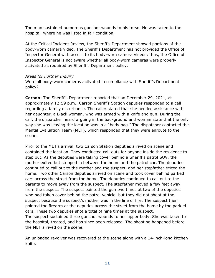The man sustained numerous gunshot wounds to his torso. He was taken to the hospital, where he was listed in fair condition.

At the Critical Incident Review, the Sheriff's Department showed portions of the body-worn camera video. The Sheriff's Department has not provided the Office of Inspector General with access to its body-worn camera videos; thus, the Office of Inspector General is not aware whether all body-worn cameras were properly activated as required by Sheriff's Department policy.

#### *Areas for Further Inquiry*

Were all body-worn cameras activated in compliance with Sheriff's Department policy?

**Carson:** The Sheriff's Department reported that on December 29, 2021, at approximately 12:59 p.m., Carson Sheriff's Station deputies responded to a call regarding a family disturbance. The caller stated that she needed assistance with her daughter, a Black woman, who was armed with a knife and gun. During the call, the dispatcher heard arguing in the background and woman state that the only way she was leaving the location was in a "body bag." The dispatcher contacted the Mental Evaluation Team (MET), which responded that they were enroute to the scene.

Prior to the MET's arrival, two Carson Station deputies arrived on scene and contained the location. They conducted call-outs for anyone inside the residence to step out. As the deputies were taking cover behind a Sheriff's patrol SUV, the mother exited but stopped in between the home and the patrol car. The deputies continued to call out to the mother and the suspect, and her stepfather exited the home. Two other Carson deputies arrived on scene and took cover behind parked cars across the street from the home. The deputies continued to call out to the parents to move away from the suspect. The stepfather moved a few feet away from the suspect. The suspect pointed the gun two times at two of the deputies who had taken cover behind the patrol vehicle, but they did not shoot at the suspect because the suspect's mother was in the line of fire. The suspect then pointed the firearm at the deputies across the street from the home by the parked cars. These two deputies shot a total of nine times at the suspect. The suspect sustained three gunshot wounds to her upper body. She was taken to

the hospital, treated, and has since been released. The shooting happened before the MET arrived on the scene.

An unloaded revolver was recovered at the scene along with a 14-inch-long kitchen knife.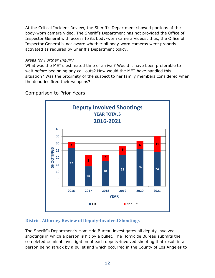At the Critical Incident Review, the Sheriff's Department showed portions of the body-worn camera video. The Sheriff's Department has not provided the Office of Inspector General with access to its body-worn camera videos; thus, the Office of Inspector General is not aware whether all body-worn cameras were properly activated as required by Sheriff's Department policy.

#### *Areas for Further Inquiry*

What was the MET's estimated time of arrival? Would it have been preferable to wait before beginning any call-outs? How would the MET have handled this situation? Was the proximity of the suspect to her family members considered when the deputies fired their weapons?

Comparison to Prior Years



### <span id="page-13-0"></span>**District Attorney Review of Deputy-Involved Shootings**

The Sheriff's Department's Homicide Bureau investigates all deputy-involved shootings in which a person is hit by a bullet. The Homicide Bureau submits the completed criminal investigation of each deputy-involved shooting that result in a person being struck by a bullet and which occurred in the County of Los Angeles to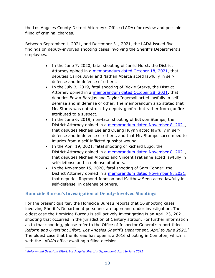the Los Angeles County District Attorney's Office (LADA) for review and possible filing of criminal charges.

Between September 1, 2021, and December 31, 2021, the LADA issued five findings on deputy-involved shooting cases involving the Sheriff's Department's employees.

- In the June 7, 2020, fatal shooting of Jarrid Hurst, the District Attorney opined in a [memorandum dated October 18, 2021,](https://da.lacounty.gov/sites/default/files/pdf/JSID-OIS-10-18-21-Hurst.pdf) that deputies Carlos Jover and Nathan Abarca acted lawfully in selfdefense and in defense of others.
- In the July 3, 2019, fatal shooting of Rickie Starks, the District Attorney opined in a [memorandum dated October 28, 2021,](https://da.lacounty.gov/sites/default/files/pdf/JSID-OIS-10-28-21-Starks.pdf) that deputies Edwin Barajas and Taylor Ingersoll acted lawfully in selfdefense and in defense of other. The memorandum also stated that Mr. Starks was not struck by deputy gunfire but rather from gunfire attributed to a suspect.
- In the June 6, 2019, non-fatal shooting of Edtwon Stamps, the District Attorney opined in a [memorandum dated November 8, 2021,](https://da.lacounty.gov/sites/default/files/pdf/JSID-OIS-11-08-21-Stamps.pdf) that deputies Michael Lee and Quang Huynh acted lawfully in selfdefense and in defense of others, and that Mr. Stamps succumbed to injuries from a self-inflicted gunshot wound.
- In the April 19, 2021, fatal shooting of Richard Lugo, the District Attorney opined in a [memorandum dated November 8, 2021,](https://da.lacounty.gov/sites/default/files/pdf/JSID-OIS-11-08-21-Lugo.pdf) that deputies Michael Alburez and Vincent Fratianne acted lawfully in self-defense and in defense of others.
- In the November 15, 2020, fatal shooting of Sam Conner, the District Attorney opined in a [memorandum dated November 8, 2021,](https://da.lacounty.gov/sites/default/files/pdf/JSID-OIS-11-08-21-Conner.pdf) that deputies Raymond Johnson and Matthew Seno acted lawfully in self-defense, in defense of others.

### <span id="page-14-0"></span>**Homicide Bureau's Investigation of Deputy-Involved Shootings**

For the present quarter, the Homicide Bureau reports that 16 shooting cases involving Sheriff's Department personnel are open and under investigation. The oldest case the Homicide Bureau is still actively investigating is an April 23, 2021, shooting that occurred in the jurisdiction of Century station. For further information as to that shooting, please refer to the Office of Inspector General's report titled *Reform and Oversight Effort: Los Angeles Sheriff's Department, April to June 2021.*[3](#page-14-1) The oldest case that the Bureau has open is a 2016 shooting in Compton, which is with the LADA's office awaiting a filing decision.

<span id="page-14-1"></span><sup>3</sup> *Reform and Oversight Effort: Los [Angeles Sheriff's Department, April to June 2021](https://oig.lacounty.gov/LinkClick.aspx?fileticket=B9S58wqiWAY%3d&portalid=18)*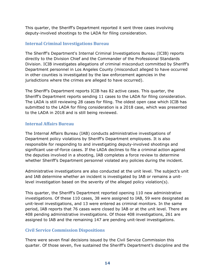This quarter, the Sheriff's Department reported it sent three cases involving deputy-involved shootings to the LADA for filing consideration.

#### <span id="page-15-0"></span>**Internal Criminal Investigations Bureau**

The Sheriff's Department's Internal Criminal Investigations Bureau (ICIB) reports directly to the Division Chief and the Commander of the Professional Standards Division. ICIB investigates allegations of criminal misconduct committed by Sheriff's Department personnel in Los Angeles County (misconduct alleged to have occurred in other counties is investigated by the law enforcement agencies in the jurisdictions where the crimes are alleged to have occurred).

The Sheriff's Department reports ICIB has 82 active cases. This quarter, the Sheriff's Department reports sending 11 cases to the LADA for filing consideration. The LADA is still reviewing 28 cases for filing. The oldest open case which ICIB has submitted to the LADA for filing consideration is a 2018 case, which was presented to the LADA in 2018 and is still being reviewed.

#### <span id="page-15-1"></span>**Internal Affairs Bureau**

The Internal Affairs Bureau (IAB) conducts administrative investigations of Department policy violations by Sheriff's Department employees. It is also responsible for responding to and investigating deputy-involved shootings and significant use-of-force cases. If the LADA declines to file a criminal action against the deputies involved in a shooting, IAB completes a force review to determine whether Sheriff's Department personnel violated any policies during the incident.

Administrative investigations are also conducted at the unit level. The subject's unit and IAB determine whether an incident is investigated by IAB or remains a unitlevel investigation based on the severity of the alleged policy violation(s).

This quarter, the Sheriff's Department reported opening 110 new administrative investigations. Of these 110 cases, 38 were assigned to IAB, 59 were designated as unit-level investigations, and 13 were entered as criminal monitors. In the same period, IAB reports that 76 cases were closed by IAB or at the unit level. There are 408 pending administrative investigations. Of those 408 investigations, 261 are assigned to IAB and the remaining 147 are pending unit-level investigations.

### <span id="page-15-2"></span>**Civil Service Commission Dispositions**

There were seven final decisions issued by the Civil Service Commission this quarter. Of those seven, five sustained the Sheriff's Department's discipline and the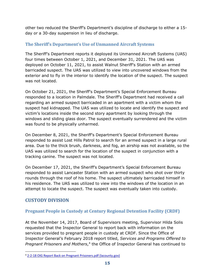other two reduced the Sheriff's Department's discipline of discharge to either a 15 day or a 30-day suspension in lieu of discharge.

### <span id="page-16-0"></span>**The Sheriff's Department's Use of Unmanned Aircraft Systems**

The Sheriff's Department reports it deployed its Unmanned Aircraft Systems (UAS) four times between October 1, 2021, and December 31, 2021. The UAS was deployed on October 11, 2021, to assist Walnut Sheriff's Station with an armed barricaded suspect. The UAS was utilized to view into uncovered windows from the exterior and to fly in the interior to identify the location of the suspect. The suspect was not located.

On October 21, 2021, the Sheriff's Department's Special Enforcement Bureau responded to a location in Palmdale. The Sheriff's Department had received a call regarding an armed suspect barricaded in an apartment with a victim whom the suspect had kidnapped. The UAS was utilized to locate and identify the suspect and victim's locations inside the second story apartment by looking through the windows and sliding glass door. The suspect eventually surrendered and the victim was found to be physically unharmed.

On December 8, 2021, the Sheriff's Department's Special Enforcement Bureau responded to assist Lost Hills Patrol to search for an armed suspect in a large rural area. Due to the thick brush, darkness, and fog, an airship was not available, so the UAS was utilized to search for the location of the suspect in conjunction with a tracking canine. The suspect was not located.

On December 17, 2021, the Sheriff's Department's Special Enforcement Bureau responded to assist Lancaster Station with an armed suspect who shot over thirty rounds through the roof of his home. The suspect ultimately barricaded himself in his residence. The UAS was utilized to view into the windows of the location in an attempt to locate the suspect. The suspect was eventually taken into custody.

### <span id="page-16-1"></span>**CUSTODY DIVISION**

### <span id="page-16-2"></span>**Pregnant People in Custody at Century Regional Detention Facility (CRDF)**

At the November 14, 2017, Board of Supervisors meeting, Supervisor Hilda Solis requested that the Inspector General to report back with information on the services provided to pregnant people in custody at CRDF. Since the Office of Inspector General's February 2018 report titled, *Services and Programs Offered to Pregnant Prisoners and Mothers*,<sup>[4](#page-16-3)</sup> the Office of Inspector General has continued to

<span id="page-16-3"></span><sup>4</sup> [2-2-18 OIG Report Back on Pregnant Prisoners.pdf \(lacounty.gov\)](https://oig.lacounty.gov/Portals/OIG/Reports/2-2-18%20OIG%20Report%20Back%20on%20Pregnant%20Prisoners.pdf?ver=2018-02-08-105510-757)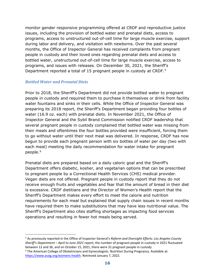monitor gender responsive programming offered at CRDF and reproductive justice issues, including the provision of bottled water and prenatal diets, access to programs, access to unstructured out-of-cell time for large muscle exercise, support during labor and delivery, and visitation with newborns. Over the past several months, the Office of Inspector General has received complaints from pregnant people in custody and their loved ones regarding prenatal diets and access to bottled water, unstructured out-of-cell time for large muscle exercise, access to programs, and issues with releases. On December 30, 2021, the Sheriff's Department reported a total of 1[5](#page-17-0) pregnant people in custody at CRDF.<sup>5</sup>

#### *Bottled Water and Prenatal Diets*

Prior to 2018, the Sheriff's Department did not provide bottled water to pregnant people in custody and required them to purchase it themselves or drink from facility water fountains and sinks in their cells. While the Office of Inspector General was preparing its 2018 report, the Sheriff's Department began providing four bottles of water (16.9 oz. each) with prenatal diets. In November 2021, the Office of Inspector General and the Sybil Brand Commission notified CRDF leadership that several pregnant people in custody complained that bottled water was missing from their meals and oftentimes the four bottles provided were insufficient, forcing them to go without water until their next meal was delivered. In response, CRDF has now begun to provide each pregnant person with six bottles of water per day (two with each meal) meeting the daily recommendation for water intake for pregnant people.<sup>[6](#page-17-1)</sup>

Prenatal diets are prepared based on a daily caloric goal and the Sheriff's Department offers diabetic, kosher, and vegetarian options that can be prescribed to pregnant people by a Correctional Health Services (CHS) medical provider. Vegan diets are not offered. Pregnant people in custody report that they do not receive enough fruits and vegetables and fear that the amount of bread in their diet is excessive. CRDF dietitians and the Director of Women's Health report that the Sheriff's Department makes every effort to meet the calorie and nutrition requirements for each meal but explained that supply chain issues in recent months have required them to make substitutions that may have less nutritional value. The Sheriff's Department also cites staffing shortages as impacting food services operations and resulting in fewer hot meals being served.

<span id="page-17-0"></span><sup>5</sup> As previously reported in the Office of Inspector General's *Reform and Oversight Efforts: Los Angeles County Sheriff's Department – April to June 2021* report, the number of pregnant people in custody in 2021 fluctuated between 12 and 36, and on October 15, 2021, there were 31 pregnant people in custody.

<span id="page-17-1"></span><sup>&</sup>lt;sup>6</sup> The American College of Obstetricians and Gynecologists. Nutrition During Pregnancy. Available at: [https://www.acog.org/womens-health.](https://www.acog.org/womens-health) Retrieved January 7, 2022.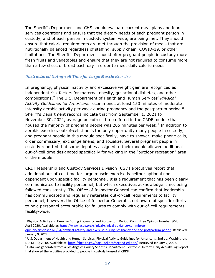The Sheriff's Department and CHS should evaluate current meal plans and food services operations and ensure that the dietary needs of each pregnant person in custody, and of each person in custody system wide, are being met. They should ensure that calorie requirements are met through the provision of meals that are nutritionally balanced regardless of staffing, supply chain, COVID-19, or other limitations. The Sheriff's Department should offer pregnant people in custody more fresh fruits and vegetables and ensure that they are not required to consume more than a few slices of bread each day in order to meet daily calorie needs.

#### *Unstructured Out-of-cell Time for Large Muscle Exercise*

In pregnancy, physical inactivity and excessive weight gain are recognized as independent risk factors for maternal obesity, gestational diabetes, and other complications.[7](#page-18-0) The U.S. Department of Health and Human Services' *Physical Activity Guidelines for Americans* recommends at least 150 minutes of moderate intensity aerobic activity per week during pregnancy and the postpartum period. $8$ Sheriff's Department records indicate that from September 1, 2021 to November 30, 2021, average out-of-cell time offered in the CRDF module that housed the majority of pregnant people was 205 minutes per week.<sup>[9](#page-18-2)</sup> In addition to aerobic exercise, out-of-cell time is the only opportunity many people in custody, and pregnant people in this module specifically, have to shower, make phone calls, order commissary, exchange linens, and socialize. Several pregnant people in custody reported that some deputies assigned to their module allowed additional out-of-cell time designated specifically for walking in the "outdoor recreation" area of the module.

CRDF leadership and Custody Services Division (CSD) executives report that additional out-of-cell time for large muscle exercise is neither optional nor dependent upon specific facility personnel. It is a requirement that has been clearly communicated to facility personnel, but which executives acknowledge is not being followed consistently. The Office of Inspector General can confirm that leadership has communicated and regularly reiterates out-of-cell requirements to facility personnel, however, the Office of Inspector General is not aware of specific efforts to hold personnel accountable for failures to comply with out-of-cell requirements facility-wide.

<span id="page-18-0"></span> $7$  Physical Activity and Exercise During Pregnancy and Postpartum Period, Committee Opinion Number 804, April 2020. Available at: [https://www.acog.org/clinical/clinical-guidance/committee-](https://www.acog.org/clinical/clinical-guidance/committee-opinion/articles/2020/04/physical-activity-and-exercise-during-pregnancy-and-the-postpartum-period)

[opinion/articles/2020/04/physical-activity-and-exercise-during-pregnancy-and-the-postpartum-period.](https://www.acog.org/clinical/clinical-guidance/committee-opinion/articles/2020/04/physical-activity-and-exercise-during-pregnancy-and-the-postpartum-period) Retrieved January 9, 2022.

<span id="page-18-1"></span><sup>8</sup> U.S. Department of Health and Human Services. Physical Activity Guidelines for Americans. 2nd ed. Washington, DC: DHHS; 2018. Available at: [https://health.gov/paguidelines/second-edition/.](https://health.gov/paguidelines/second-edition/) Retrieved January 7, 2022.

<span id="page-18-2"></span><sup>&</sup>lt;sup>9</sup> Data was generated from a Los Angeles County Sheriff's Department Electronic Uniform Daily Activity Log Report that showed the activities provided to people in custody housed at CRDF.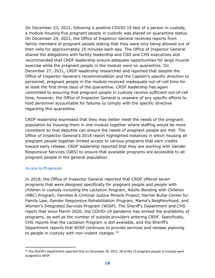On December 23, 2021, following a positive COVID-19 test of a person in custody, a module housing five pregnant people in custody was placed on quarantine status. On December 24, 2021, the Office of Inspector General received reports from family members of pregnant people stating that they were only being allowed out of their cells for approximately 25 minutes each day. The Office of Inspector General shared the allegations with facility leadership and CSD and CHS executives and recommended that CRDF leadership ensure adequate opportunities for large muscle exercise while the pregnant people in the module were on quarantine. On December 27, 2021, CRDF leadership researched and reported that despite the Office of Inspector General's recommendation and the Captain's specific direction to personnel, pregnant people in the module received inadequate out-of-cell time for at least the first three days of the quarantine. CRDF leadership has again committed to ensuring that pregnant people in custody receive sufficient out-of-cell time, however, the Office of Inspector General is unaware of any specific efforts to hold personnel accountable for failures to comply with the specific directive regarding this quarantine.

CRDF leadership expressed that they may better meet the needs of the pregnant population by housing them in one module together where staffing would be more consistent so that deputies can ensure the needs of pregnant people are met. The Office of Inspector General's 2018 report highlighted instances in which housing all pregnant people together limited access to various programs that earn credits toward early release. CRDF leadership reported that they are working with Gender Responsive Services (GRS) to ensure that available programs are accessible to all pregnant people in the general population.

#### *Access to Programs*

In 2018, the Office of Inspector General reported that CRDF offered seven programs that were designed specifically for pregnant people and people with children in custody including the Lactation Program, Adults Bonding with Children (ABC) Program, Families & Criminal Justice Miracle Project, Harriet Buhai Center for Family Law, Gender Responsive Rehabilitation Program, Mama's Neighborhood, and Women's Integrated Services Program (WISP). The Sheriff's Department and CHS report that since March 2020, the COVID-19 pandemic has limited the availability of programs, as well as the number of outside providers entering CRDF. Specifically, CHS reports that the Lactation Program is still available, and the Sheriff's Department reports that WISP continues to provide services and release planning to people in custody with non-violent charges. $10$ 

<span id="page-19-0"></span><sup>&</sup>lt;sup>10</sup> The Sheriff's Department reported that on December 30, 2021, 10 of the 15 pregnant people in custody were assigned to WISP.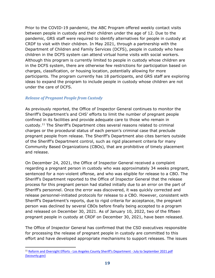Prior to the COVID-19 pandemic, the ABC Program offered weekly contact visits between people in custody and their children under the age of 12. Due to the pandemic, GRS staff were required to identify alternatives for people in custody at CRDF to visit with their children. In May 2021, through a partnership with the Department of Children and Family Services (DCFS), people in custody who have children in the DCFS system can attend virtual home visits with social workers. Although this program is currently limited to people in custody whose children are in the DCFS system, there are otherwise few restrictions for participation based on charges, classification, or housing location, potentially allowing for more participants. The program currently has 18 participants, and GRS staff are exploring ideas to expand the program to include people in custody whose children are not under the care of DCFS.

#### *Release of Pregnant People from Custody*

As previously reported, the Office of Inspector General continues to monitor the Sheriff's Department's and CHS' efforts to limit the number of pregnant people confined in its facilities and provide adequate care to those who remain in custody.[11](#page-20-0) The Sheriff's Department cites several reasons related to criminal charges or the procedural status of each person's criminal case that preclude pregnant people from release. The Sheriff's Department also cites barriers outside of the Sheriff's Department control, such as rigid placement criteria for many Community Based Organizations (CBOs), that are prohibitive of timely placement and release.

On December 24, 2021, the Office of Inspector General received a complaint regarding a pregnant person in custody who was approximately 34 weeks pregnant, sentenced for a non-violent offense, and who was eligible for release to a CBO. The Sheriff's Department reported to the Office of Inspector General that the release process for this pregnant person had stalled initially due to an error on the part of Sheriff's personnel. Once the error was discovered, it was quickly corrected and release personnel-initiated protocols for release to a CBO. However, consistent with Sheriff's Department's reports, due to rigid criteria for acceptance, the pregnant person was declined by several CBOs before finally being accepted to a program and released on December 30, 2021. As of January 10, 2022, two of the fifteen pregnant people in custody at CRDF on December 30, 2021, have been released.

The Office of Inspector General has confirmed that the CSD executives responsible for processing the release of pregnant people in custody are committed to this effort and have developed appropriate mechanisms to support releases. The issues

<span id="page-20-0"></span><sup>&</sup>lt;sup>11</sup> Reform and Oversight Efforts - [Los Angeles County Sheriff's Department -](https://oig.lacounty.gov/Portals/OIG/Reports/2021/Reform%20and%20Oversight%20Efforts%20-%20Los%20Angeles%20County%20Sheriffs%20Department%20-%20July%20to%20September%202021.pdf?ver=bIzUjJFW57bb6qX7qlulrA%3d%3d) July to September 2021.pdf [\(lacounty.gov\)](https://oig.lacounty.gov/Portals/OIG/Reports/2021/Reform%20and%20Oversight%20Efforts%20-%20Los%20Angeles%20County%20Sheriffs%20Department%20-%20July%20to%20September%202021.pdf?ver=bIzUjJFW57bb6qX7qlulrA%3d%3d)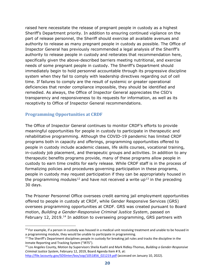raised here necessitate the release of pregnant people in custody as a highest Sheriff's Department priority. In addition to ensuring continued vigilance on the part of release personnel, the Sheriff should exercise all available avenues and authority to release as many pregnant people in custody as possible. The Office of Inspector General has previously recommended a legal analysis of the Sheriff's authority to release people in custody and reiterates that recommendation here, specifically given the above-described barriers meeting nutritional, and exercise needs of some pregnant people in custody. The Sheriff's Department should immediately begin to hold personnel accountable through its progressive discipline system when they fail to comply with leadership directives regarding out of cell time. If failures to comply are the result of systemic or greater operational deficiencies that render compliance impossible, they should be identified and remedied. As always, the Office of Inspector General appreciates the CSD's transparency and responsiveness to its requests for information, as well as its receptivity to Office of Inspector General recommendations.

### <span id="page-21-0"></span>**Programming Opportunities at CRDF**

The Office of Inspector General continues to monitor CRDF's efforts to provide meaningful opportunities for people in custody to participate in therapeutic and rehabilitative programming. Although the COVID-19 pandemic has limited CRDF programs both in capacity and offerings, programming opportunities offered to people in custody include academic classes, life skills courses, vocational training, in-custody job placement, and therapeutic groups and activities. In addition to any therapeutic benefits programs provide, many of these programs allow people in custody to earn time credits for early release. While CRDF staff is in the process of formalizing policies and procedures governing participation in these programs, people in custody may request participation if they can be appropriately housed in the programming modules<sup>[12](#page-21-1)</sup> and have not received a write up<sup>[13](#page-21-2)</sup> in the preceding 30 days.

The Prisoner Personnel Office oversees credit earning jail employment opportunities offered to people in custody at CRDF, while Gender Responsive Services (GRS) oversees programming opportunities at CRDF. GRS was created pursuant to Board motion, *Building a Gender-Responsive Criminal Justice System*, passed on February 12, 2019.<sup>[14](#page-21-3)</sup> In addition to overseeing programming, GRS partners with

<span id="page-21-1"></span> $12$  For example, if a person in custody was housed in a medical unit receiving treatment and unable to be housed in a programming module, they would be unable to participate in programming.

<span id="page-21-2"></span> $13$  The Sheriff's Department disciplines people in custody for breaking jail rules and tracks the discipline in the Inmate Reporting and Tracking System ("IRTS").

<span id="page-21-3"></span><sup>14</sup> Los Angeles County, Motion by Supervisors Sheila Kuehl and Mark Ridley-Thomas, *Building a Gender-Responsive Criminal Justice System*, February 12, 2019, Board Agenda Item # 9, at:

[http://file.lacounty.gov/SDSInter/bos/sop/1051856\\_021219.pdf](http://file.lacounty.gov/SDSInter/bos/sop/1051856_021219.pdf) (accessed on January 10, 2022).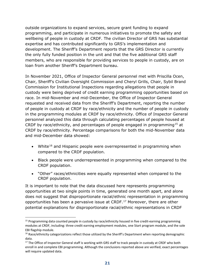outside organizations to expand services, secure grant funding to expand programming, and participate in numerous initiatives to promote the safety and wellbeing of people in custody at CRDF. The civilian Director of GRS has substantial expertise and has contributed significantly to GRS's implementation and development. The Sheriff's Department reports that the GRS Director is currently the only fully funded position in the unit and that the five additional GRS staff members, who are responsible for providing services to people in custody, are on loan from another Sheriff's Department bureau.

In November 2021, Office of Inspector General personnel met with Priscilla Ocen, Chair, Sheriff's Civilian Oversight Commission and Cheryl Grills, Chair, Sybil Brand Commission for Institutional Inspections regarding allegations that people in custody were being deprived of credit earning programming opportunities based on race. In mid-November and mid-December, the Office of Inspector General requested and received data from the Sheriff's Department, reporting the number of people in custody at CRDF by race/ethnicity and the number of people in custody in the programming modules at CRDF by race/ethnicity. Office of Inspector General personnel analyzed this data through calculating percentages of people housed at CRDF by race/ethnicity, and percentages of people engaged in programming<sup>[15](#page-22-0)</sup> at CRDF by race/ethnicity. Percentage comparisons for both the mid-November data and mid-December data showed:

- White<sup>[16](#page-22-1)</sup> and Hispanic people were overrepresented in programming when compared to the CRDF population.
- Black people were underrepresented in programming when compared to the CRDF population.
- "Other" races/ethnicities were equally represented when compared to the CRDF population.

It is important to note that the data discussed here represents programming opportunities at two single points in time, generated one month apart, and alone does not suggest that disproportionate racial/ethnic representation in programming opportunities has been a pervasive issue at CRDF.[17](#page-22-2) Moreover, there are other potential explanations for disproportionate racial/ethnic representations in CRDF

<span id="page-22-0"></span> $15$  Programming data counted people in custody by race/ethnicity housed in five credit-earning programming modules at CRDF, including: three credit earning employment modules, one Start program module, and the sole EBI flagship module.

<span id="page-22-1"></span><sup>&</sup>lt;sup>16</sup> Race/ethnicity categorizations reflect those utilized by the Sheriff's Department when reporting demographic data.

<span id="page-22-2"></span><sup>&</sup>lt;sup>17</sup> The Office of Inspector General staff is working with GRS staff to track people in custody at CRDF who both enroll in and complete EBI programming. Although the conclusions reported above are verified, exact percentages will require updated data.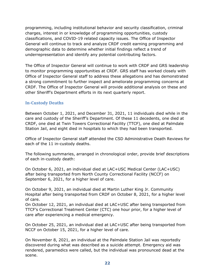programming, including institutional behavior and security classification, criminal charges, interest in or knowledge of programming opportunities, custody classifications, and COVID-19 related capacity issues. The Office of Inspector General will continue to track and analyze CRDF credit earning programming and demographic data to determine whether initial findings reflect a trend of underrepresentation and identify any potential contributing factors.

The Office of Inspector General will continue to work with CRDF and GRS leadership to monitor programming opportunities at CRDF. GRS staff has worked closely with Office of Inspector General staff to address these allegations and has demonstrated a strong commitment to further inspect and ameliorate programming concerns at CRDF. The Office of Inspector General will provide additional analysis on these and other Sheriff's Department efforts in its next quarterly report.

### <span id="page-23-0"></span>**In-Custody Deaths**

Between October 1, 2021, and December 31, 2021, 11 individuals died while in the care and custody of the Sheriff's Department. Of these 11 decedents, one died at CRDF, one died at Twin Towers Correctional Facility (TTCF), one died at Palmdale Station Jail, and eight died in hospitals to which they had been transported.

Office of Inspector General staff attended the CSD Administrative Death Reviews for each of the 11 in-custody deaths.

The following summaries, arranged in chronological order, provide brief descriptions of each in-custody death:

On October 6, 2021, an individual died at LAC+USC Medical Center (LAC+USC) after being transported from North County Correctional Facility (NCCF) on September 6, 2021, for a higher level of care.

On October 9, 2021, an individual died at Martin Luther King Jr. Community Hospital after being transported from CRDF on October 8, 2021, for a higher level of care.

On October 12, 2021, an individual died at LAC+USC after being transported from TTCF's Correctional Treatment Center (CTC) one hour prior, for a higher level of care after experiencing a medical emergency.

On October 25, 2021, an individual died at LAC+USC after being transported from NCCF on October 15, 2021, for a higher level of care.

On November 8, 2021, an individual at the Palmdale Station Jail was reportedly discovered during what was described as a suicide attempt. Emergency aid was rendered, paramedics were called, but the individual was pronounced dead at the scene.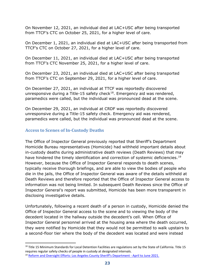On November 12, 2021, an individual died at LAC+USC after being transported from TTCF's CTC on October 25, 2021, for a higher level of care.

On December 1, 2021, an individual died at LAC+USC after being transported from TTCF's CTC on October 27, 2021, for a higher level of care.

On December 11, 2021, an individual died at LAC+USC after being transported from TTCF's CTC November 25, 2021, for a higher level of care.

On December 23, 2021, an individual died at LAC+USC after being transported from TTCF's CTC on September 29, 2021, for a higher level of care.

On December 27, 2021, an individual at TTCF was reportedly discovered unresponsive during a Title-15 safety check<sup>18</sup>. Emergency aid was rendered, paramedics were called, but the individual was pronounced dead at the scene.

On December 29, 2021, an individual at CRDF was reportedly discovered unresponsive during a Title-15 safety check. Emergency aid was rendered, paramedics were called, but the individual was pronounced dead at the scene.

### <span id="page-24-0"></span>**Access to Scenes of In-Custody Deaths**

The Office of Inspector General previously reported that Sheriff's Department Homicide Bureau representatives (Homicide) had withheld important details about in-custody deaths during administrative death reviews (Death Reviews) that may have hindered the timely identification and correction of systemic deficiencies.<sup>[19](#page-24-2)</sup> However, because the Office of Inspector General responds to death scenes, typically receive thorough briefings, and are able to view the bodies of people who die in the jails, the Office of Inspector General was aware of the details withheld at Death Reviews and therefore reported that the Office of Inspector General access to information was not being limited. In subsequent Death Reviews since the Office of Inspector General's report was submitted, Homicide has been more transparent in disclosing investigative details.

Unfortunately, following a recent death of a person in custody, Homicide denied the Office of Inspector General access to the scene and to viewing the body of the decedent located in the hallway outside the decedent's cell. When Office of Inspector General personnel arrived at the housing area where the death occurred, they were notified by Homicide that they would not be permitted to walk upstairs to a second-floor tier where the body of the decedent was located and were instead

<span id="page-24-1"></span><sup>&</sup>lt;sup>18</sup> Title 15 Minimum Standards for Local Detention Facilities are regulations set by the State of California. Title 15 requires regular safety checks of people in custody at designated intervals.

<span id="page-24-2"></span><sup>&</sup>lt;sup>19</sup> [Reform and Oversight Efforts: Los Angeles County Sheriff's Department -](https://oig.lacounty.gov/LinkClick.aspx?fileticket=B9S58wqiWAY%3d&portalid=18) April to June 2021.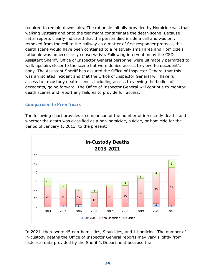required to remain downstairs. The rationale initially provided by Homicide was that walking upstairs and onto the tier might contaminate the death scene. Because initial reports clearly indicated that the person died inside a cell and was only removed from the cell to the hallway as a matter of first responder protocol, the death scene would have been contained to a relatively small area and Homicide's rationale was unnecessarily conservative. Following intervention by the CSD Assistant Sheriff, Office of Inspector General personnel were ultimately permitted to walk upstairs closer to the scene but were denied access to view the decedent's body. The Assistant Sheriff has assured the Office of Inspector General that this was an isolated incident and that the Office of Inspector General will have full access to in-custody death scenes, including access to viewing the bodies of decedents, going forward. The Office of Inspector General will continue to monitor death scenes and report any failures to provide full access.

#### **Comparison to Prior Years**

The following chart provides a comparison of the number of in-custody deaths and whether the death was classified as a non-homicide, suicide, or homicide for the period of January 1, 2013, to the present:



In 2021, there were 45 non-homicides, 9 suicides, and 1 homicide. The number of in-custody deaths the Office of Inspector General reports may vary slightly from historical data provided by the Sheriff's Department because the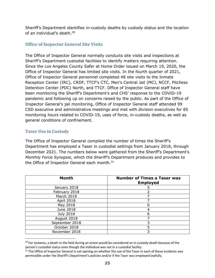Sheriff's Department identifies in-custody deaths by custody status and the location of an individual's death.[20](#page-26-2)

### <span id="page-26-0"></span>**Office of Inspector General Site Visits**

The Office of Inspector General normally conducts site visits and inspections at Sheriff's Department custodial facilities to identify matters requiring attention. Since the Los Angeles County Safer at Home Order issued on March 19, 2020, the Office of Inspector General has limited site visits. In the fourth quarter of 2021, Office of Inspector General personnel completed 48 site visits to the Inmate Reception Center (IRC), CRDF, TTCF's CTC, Men's Central Jail (MCJ, NCCF, Pitchess Detention Center (PDC) North, and TTCF. Office of Inspector General staff have been monitoring the Sheriff's Department's and CHS' response to the COVID-19 pandemic and following up on concerns raised by the public. As part of the Office of Inspector General's jail monitoring, Office of Inspector General staff attended 99 CSD executive and administrative meetings and met with division executives for 85 monitoring hours related to COVID-19, uses of force, in-custody deaths, as well as general conditions of confinement.

### <span id="page-26-1"></span>**Taser Use in Custody**

The Office of Inspector General compiled the number of times the Sheriff's Department has employed a Taser in custodial settings from January 2018, through December 2021. The numbers below were gathered from the Sheriff's Department's *Monthly Force Synopsis*, which the Sheriff's Department produces and provides to the Office of Inspector General each month. $^{21}$  $^{21}$  $^{21}$ 

| <b>Month</b>     | <b>Number of Times a Taser was</b><br><b>Employed</b> |
|------------------|-------------------------------------------------------|
| January 2018     |                                                       |
| February 2018    |                                                       |
| March 2018       |                                                       |
| April 2018       |                                                       |
| May 2018         |                                                       |
| June 2018        |                                                       |
| <b>July 2018</b> | 6                                                     |
| August 2018      |                                                       |
| September 2018   | 3                                                     |
| October 2018     | 5                                                     |
| November 2018    |                                                       |

<span id="page-26-2"></span><sup>&</sup>lt;sup>20</sup> For instance, a death in the field during an arrest would be considered an in-custody death because of the person's custodial status even though the individual was not in a custodial facility.

<span id="page-26-3"></span> $21$  The Office of Inspector General is not opining on whether the use of the Taser in each of these incidents was permissible under the Sheriff's Department's policies and/or if the Taser was employed lawfully.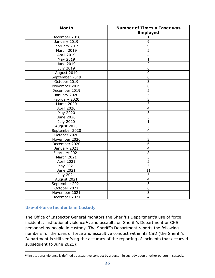| <b>Month</b>     | <b>Number of Times a Taser was</b><br><b>Employed</b> |
|------------------|-------------------------------------------------------|
| December 2018    | 1                                                     |
| January 2019     | 9                                                     |
| February 2019    | $\overline{9}$                                        |
| March 2019       | $\overline{5}$                                        |
| April 2019       | $\overline{4}$                                        |
| May 2019         | $\mathbf{1}$                                          |
| June 2019        | $\overline{2}$                                        |
| July 2019        | 6                                                     |
| August 2019      | 9                                                     |
| September 2019   | 6                                                     |
| October 2019     | 3                                                     |
| November 2019    | 6                                                     |
| December 2019    | $\overline{5}$                                        |
| January 2020     | $\overline{5}$                                        |
| February 2020    | $\overline{3}$                                        |
| March 2020       | $\overline{3}$                                        |
| April 2020       | $\overline{\mathbf{4}}$                               |
| May 2020         | $\overline{3}$                                        |
| June 2020        | $\overline{5}$                                        |
| <b>July 2020</b> | 1                                                     |
| August 2020      | 3                                                     |
| September 2020   | $\overline{\mathbf{4}}$                               |
| October 2020     | $\overline{3}$                                        |
| November 2020    | $\overline{3}$                                        |
| December 2020    | $\overline{6}$                                        |
| January 2021     | $\overline{4}$                                        |
| February 2021    | $\overline{8}$                                        |
| March 2021       | 3                                                     |
| April 2021       | 5                                                     |
| May 2021         | $\overline{3}$                                        |
| June 2021        | 11                                                    |
| July 2021        | 5                                                     |
| August 2021      | $\overline{\mathbf{4}}$                               |
| September 2021   | $\overline{3}$                                        |
| October 2021     | $\overline{6}$                                        |
| November 2021    | 3                                                     |
| December 2021    | $\overline{\mathbf{4}}$                               |

### <span id="page-27-0"></span>**Use-of-Force Incidents in Custody**

The Office of Inspector General monitors the Sheriff's Department's use of force incidents, institutional violence<sup>[22](#page-27-1)</sup>, and assaults on Sheriff's Department or CHS personnel by people in custody. The Sheriff's Department reports the following numbers for the uses of force and assaultive conduct within its CSD (the Sheriff's Department is still verifying the accuracy of the reporting of incidents that occurred subsequent to June 2021):

<span id="page-27-1"></span><sup>&</sup>lt;sup>22</sup> Institutional violence is defined as assaultive conduct by a person in custody upon another person in custody.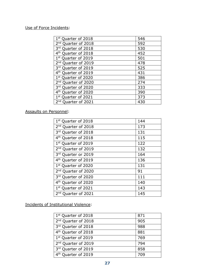### Use of Force Incidents:

| 546 |
|-----|
| 592 |
| 530 |
| 452 |
| 501 |
| 478 |
| 525 |
| 431 |
| 386 |
| 274 |
| 333 |
| 390 |
| 373 |
| 430 |
|     |

### Assaults on Personnel:

| 1 <sup>st</sup> Quarter of 2018 | 144 |
|---------------------------------|-----|
| 2 <sup>nd</sup> Quarter of 2018 | 173 |
| 3rd Quarter of 2018             | 131 |
| 4 <sup>th</sup> Quarter of 2018 | 115 |
| 1st Quarter of 2019             | 122 |
| 2 <sup>nd</sup> Quarter of 2019 | 132 |
| 3rd Quarter or 2019             | 164 |
| 4 <sup>th</sup> Quarter of 2019 | 136 |
| 1 <sup>st</sup> Quarter of 2020 | 131 |
| 2 <sup>nd</sup> Quarter of 2020 | 91  |
| 3rd Quarter of 2020             | 111 |
| 4 <sup>th</sup> Quarter of 2020 | 140 |
| 1st Quarter of 2021             | 143 |
| 2 <sup>nd</sup> Quarter of 2021 | 145 |

### Incidents of Institutional Violence:

| 871 |
|-----|
| 905 |
| 988 |
| 881 |
| 769 |
| 794 |
| 858 |
|     |
|     |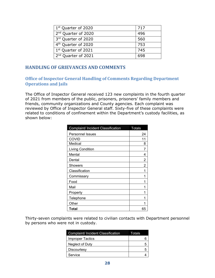| 1 <sup>st</sup> Quarter of 2020 | 717 |
|---------------------------------|-----|
| 2 <sup>nd</sup> Quarter of 2020 | 496 |
| 3rd Quarter of 2020             | 560 |
| 4 <sup>th</sup> Quarter of 2020 | 753 |
| 1st Quarter of 2021             | 745 |
| 2 <sup>nd</sup> Quarter of 2021 | 698 |

### <span id="page-29-0"></span>**HANDLING OF GRIEVANCES AND COMMENTS**

#### **Office of Inspector General Handling of Comments Regarding Department Operations and Jails**

The Office of Inspector General received 123 new complaints in the fourth quarter of 2021 from members of the public, prisoners, prisoners' family members and friends, community organizations and County agencies. Each complaint was reviewed by Office of Inspector General staff. Sixty-five of these complaints were related to conditions of confinement within the Department's custody facilities, as shown below:

| Complaint/ Incident Classification | <b>Totals</b> |
|------------------------------------|---------------|
| <b>Personnel Issues</b>            | 24            |
| <b>COVID</b>                       | 11            |
| Medical                            | 8             |
| <b>Living Condition</b>            |               |
| Mental                             | 4             |
| Dental                             | 2             |
| Showers                            | 2             |
| Classification                     |               |
| Commissary                         |               |
| Food                               |               |
| Mail                               |               |
| Property                           |               |
| Telephone                          |               |
| Other                              |               |
| Total                              | 65            |

Thirty-seven complaints were related to civilian contacts with Department personnel by persons who were not in custody.

| <b>Complaint/Incident Classification</b> | Totals |
|------------------------------------------|--------|
| <b>Improper Tactics</b>                  | 6      |
| Neglect of Duty                          | 5      |
| Discourtesy                              | 5      |
| Service                                  |        |
|                                          |        |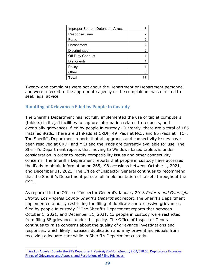| Improper Search, Detention, Arrest |   |
|------------------------------------|---|
| <b>Response Time</b>               | 2 |
| Force                              | 2 |
| Harassment                         | 2 |
| <b>Discrimination</b>              | 2 |
| Off Duty Conduct                   |   |
| Dishonesty                         |   |
| Policy                             |   |
| Other                              |   |
| Total                              |   |

Twenty-one complaints were not about the Department or Department personnel and were referred to the appropriate agency or the complainant was directed to seek legal advice.

### <span id="page-30-0"></span>**Handling of Grievances Filed by People in Custody**

The Sheriff's Department has not fully implemented the use of tablet computers (tablets) in its jail facilities to capture information related to requests, and eventually grievances, filed by people in custody. Currently, there are a total of 165 installed iPads. There are 31 iPads at CRDF, 49 iPads at MCJ, and 85 iPads at TTCF. The Sheriff's Department reports that all upgrades and connectivity issues have been resolved at CRDF and MCJ and the iPads are currently available for use. The Sheriff's Department reports that moving to Windows based tablets is under consideration in order to rectify compatibility issues and other connectivity concerns. The Sheriff's Department reports that people in custody have accessed the iPads to obtain information on 265,198 occasions between October 1, 2021, and December 31, 2021. The Office of Inspector General continues to recommend that the Sheriff's Department pursue full implementation of tablets throughout the CSD.

As reported in the Office of Inspector General's January 2018 *Reform and Oversight Efforts: Los Angeles County Sheriff's Department* report, the Sheriff's Department implemented a policy restricting the filing of duplicate and excessive grievances filed by people in custody.<sup>[23](#page-30-1)</sup> The Sheriff's Department reports that between October 1, 2021, and December 31, 2021, 13 people in custody were restricted from filing 38 grievances under this policy. The Office of Inspector General continues to raise concerns about the quality of grievance investigations and responses, which likely increases duplication and may prevent individuals from receiving adequate care while in Sheriff's Department custody.

<span id="page-30-1"></span><sup>23</sup> *See* [Los Angeles County Sheriff's Department,](http://pars.lasd.org/Viewer/Manuals/14249/Content/13670) *Custody Division Manual*, 8-04/050.00, Duplicate or Excessive [Filings of Grievances and Appeals, and Restrictions of Filing Privileges.](http://pars.lasd.org/Viewer/Manuals/14249/Content/13670)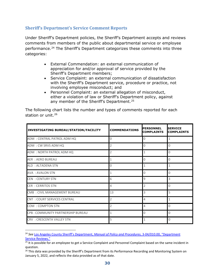#### <span id="page-31-0"></span>**Sheriff's Department's Service Comment Reports**

Under Sheriff's Department policies, the Sheriff's Department accepts and reviews comments from members of the public about departmental service or employee performance.<sup>[24](#page-31-1)</sup> The Sheriff's Department categorizes these comments into three categories:

- External Commendation: an external communication of appreciation for and/or approval of service provided by the Sheriff's Department members;
- Service Complaint: an external communication of dissatisfaction with the Sheriff's Department service, procedure or practice, not involving employee misconduct; and
- Personnel Complaint: an external allegation of misconduct, either a violation of law or Sheriff's Department policy, against any member of the Sheriff's Department.<sup>[25](#page-31-2)</sup>

The following chart lists the number and types of comments reported for each station or unit. $26$ 

| INVESTIGATING BUREAU/STATION/FACILITY | <b>COMMENDATIONS</b> | PERSONNEL<br><b>COMPLAINTS</b> | <b>SERVICE</b><br><b>COMPLAINTS</b> |
|---------------------------------------|----------------------|--------------------------------|-------------------------------------|
| ADM : CENTRAL PATROL ADM HQ           | 0                    | 0                              | $\mathbf{1}$                        |
| ADM: CW SRVS ADM HQ                   | $\overline{2}$       | 0                              | $\Omega$                            |
| ADM : NORTH PATROL ADM HQ             | 2                    | 1                              | $\Omega$                            |
| <b>AER: AERO BUREAU</b>               | 1                    | 0                              | $\Omega$                            |
| ALD : ALTADENA STN                    | 0                    | 1                              | $\mathbf{1}$                        |
| AVA : AVALON STN                      | 1                    | 0                              | $\Omega$                            |
| <b>CEN : CENTURY STN</b>              | 6                    | 9                              | 3                                   |
| <b>CER: CERRITOS STN</b>              | 4                    | 2                              | $\Omega$                            |
| <b>CMB: CIVIL MANAGEMENT BUREAU</b>   | 13                   | 3                              | 5                                   |
| <b>CNT : COURT SERVICES CENTRAL</b>   | 2                    | 4                              | $\mathbf{1}$                        |
| COM : COMPTON STN                     | 2                    | 4                              | $\Omega$                            |
| CPB: COMMUNITY PARTNERSHIP BUREAU     | $\mathbf{1}$         | 0                              | $\Omega$                            |
| <b>CRV : CRESCENTA VALLEY STN</b>     | 5                    | 1                              | $\Omega$                            |

<span id="page-31-1"></span><sup>24</sup> *See* [Los Angeles County Sheriff's Department,](http://pars.lasd.org/Viewer/Manuals/10008/Content/10837) *Manual of Policy and Procedures*, 3-04/010.00, "Department [Service Reviews."](http://pars.lasd.org/Viewer/Manuals/10008/Content/10837)

<span id="page-31-2"></span><sup>&</sup>lt;sup>25</sup> It is possible for an employee to get a Service Complaint and Personnel Complaint based on the same incident in question.

<span id="page-31-3"></span><sup>&</sup>lt;sup>26</sup> This data was provided by the Sheriff's Department from its Performance Recording and Monitoring System on January 5, 2022, and reflects the data provided as of that date.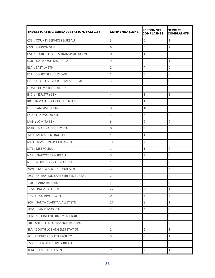| <b>INVESTIGATING BUREAU/STATION/FACILITY</b> | <b>COMMENDATIONS</b>    | <b>PERSONNEL</b><br><b>COMPLAINTS</b> | <b>SERVICE</b><br><b>COMPLAINTS</b> |
|----------------------------------------------|-------------------------|---------------------------------------|-------------------------------------|
| <b>CSB: COUNTY SERVICES BUREAU</b>           | 3                       | 6                                     | $\mathbf 1$                         |
| <b>CSN : CARSON STN</b>                      | 6                       | 5                                     | $\overline{2}$                      |
| CST: COURT SERVICES TRANSPORTATION           | $\mathsf{O}\xspace$     | $\mathbf{1}$                          | $\mathsf{O}\xspace$                 |
| <b>DSB: DATA SYSTEMS BUREAU</b>              | 0                       | 0                                     | $\mathbf{1}$                        |
| <b>ELA: EAST LA STN</b>                      | $\overline{2}$          | 4                                     | 0                                   |
| <b>EST : COURT SERVICES EAST</b>             | $\mathbf{1}$            | 5                                     | $\mathsf 0$                         |
| FCC: FRAUD & CYBER CRIMES BUREAU             | 3                       | 0                                     | $\mathsf{O}\xspace$                 |
| <b>HOM : HOMICIDE BUREAU</b>                 | $\mathbf 1$             | 0                                     | $\overline{2}$                      |
| <b>IND : INDUSTRY STN</b>                    | $\overline{4}$          | 3                                     | 6                                   |
| IRC : INMATE RECEPTION CENTER                | $\overline{2}$          | $\mathbf 1$                           | $\mathsf{O}\xspace$                 |
| <b>LCS : LANCASTER STN</b>                   | 8                       | 16                                    | 6                                   |
| LKD: LAKEWOOD STN                            | 3                       | 6                                     | $\mathbf 0$                         |
| <b>LMT : LOMITA STN</b>                      | 6                       | $\overline{2}$                        | $\mathsf 0$                         |
| <b>MAR: MARINA DEL REY STN</b>               | 0                       | 3                                     | $\mathbf 0$                         |
| MCJ: MEN'S CENTRAL JAIL                      | $\mathbf{1}$            | $\mathbf{1}$                          | $\mathsf{O}\xspace$                 |
| MLH: MALIBU/LOST HILLS STN                   | 11                      | 7                                     | $\overline{2}$                      |
| <b>MTL: METROLINK</b>                        | $\mathbf{1}$            | 1                                     | $\mathsf{O}\xspace$                 |
| <b>NAR: NARCOTICS BUREAU</b>                 | $\mathbf 0$             | 3                                     | $\mathsf{O}\xspace$                 |
| NCF: NORTH CO. CORRECTL FAC                  | $\mathbf{1}$            | 0                                     | $\mathbf 0$                         |
| <b>NWK: NORWALK REGIONAL STN</b>             | 6                       | 9                                     | $\mathsf 3$                         |
| OSS : OPERATION SAFE STREETS BUREAU          | $\overline{2}$          | 0                                     | $\mathsf{O}\xspace$                 |
| PKB: PARKS BUREAU                            | $\overline{\mathbf{3}}$ | $\mathsf{O}\xspace$                   | $\mathsf{O}\xspace$                 |
| <b>PLM : PALMDALE STN</b>                    | 22                      | 21                                    | $\mathbf 1$                         |
| PRV: PICO RIVERA STN                         | $\mathbf 0$             | 3                                     | $\overline{2}$                      |
| <b>SCV : SANTA CLARITA VALLEY STN</b>        | 17                      | 8                                     | $\mathbf 1$                         |
| <b>SDM : SAN DIMAS STN</b>                   | 5                       | $\overline{4}$                        | $\mathsf 0$                         |
| <b>SEB: SPECIAL ENFORCEMENT BUR</b>          | $\mathbf{1}$            | $\mathsf{O}\xspace$                   | $\mathsf{O}\xspace$                 |
| SIB: SHERIFF INFORMATION BUREAU              | $\mathbf{1}$            | $\mathbf 0$                           | $\mathsf 0$                         |
| <b>SLA: SOUTH LOS ANGELES STATION</b>        | $\overline{2}$          | 5                                     | $\mathbf 1$                         |
| SO: PITCHESS SOUTH FACILITY                  | 0                       | 0                                     | $1\,$                               |
| <b>SSB: SCIENTIFIC SERV BUREAU</b>           | 3                       | 0                                     | $\mathbf 0$                         |
| TEM: TEMPLE CITY STN                         | 9                       | $\overline{7}$                        | $\mathbf 1$                         |